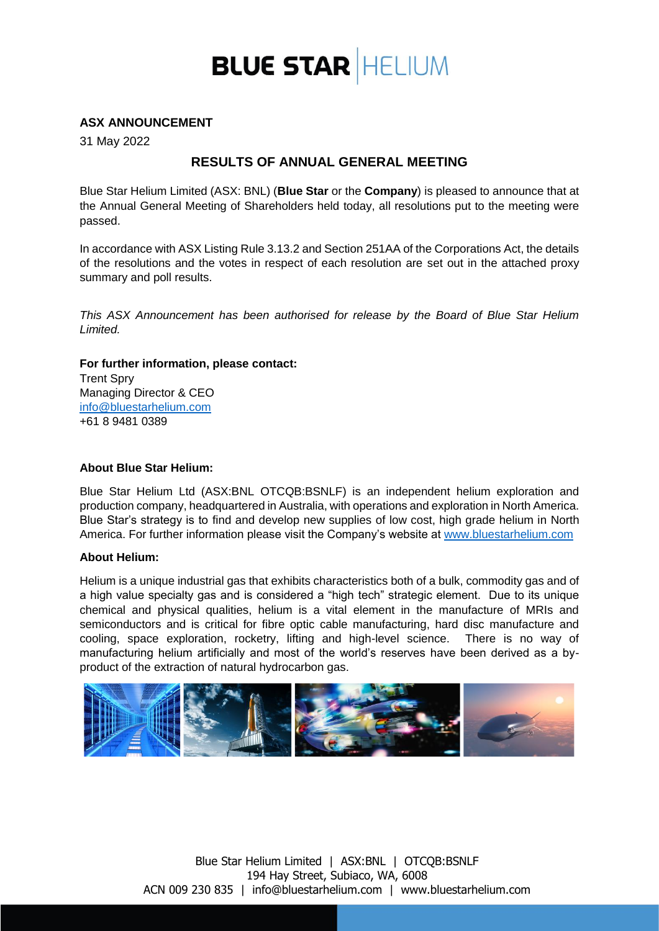

### **ASX ANNOUNCEMENT**

31 May 2022

## **RESULTS OF ANNUAL GENERAL MEETING**

Blue Star Helium Limited (ASX: BNL) (**Blue Star** or the **Company**) is pleased to announce that at the Annual General Meeting of Shareholders held today, all resolutions put to the meeting were passed.

In accordance with ASX Listing Rule 3.13.2 and Section 251AA of the Corporations Act, the details of the resolutions and the votes in respect of each resolution are set out in the attached proxy summary and poll results.

*This ASX Announcement has been authorised for release by the Board of Blue Star Helium Limited.*

**For further information, please contact:** Trent Spry Managing Director & CEO [info@bluestarhelium.com](about:blank)

+61 8 9481 0389

#### **About Blue Star Helium:**

Blue Star Helium Ltd (ASX:BNL OTCQB:BSNLF) is an independent helium exploration and production company, headquartered in Australia, with operations and exploration in North America. Blue Star's strategy is to find and develop new supplies of low cost, high grade helium in North America. For further information please visit the Company's website at [www.bluestarhelium.com](about:blank)

#### **About Helium:**

Helium is a unique industrial gas that exhibits characteristics both of a bulk, commodity gas and of a high value specialty gas and is considered a "high tech" strategic element. Due to its unique chemical and physical qualities, helium is a vital element in the manufacture of MRIs and semiconductors and is critical for fibre optic cable manufacturing, hard disc manufacture and cooling, space exploration, rocketry, lifting and high-level science. There is no way of manufacturing helium artificially and most of the world's reserves have been derived as a byproduct of the extraction of natural hydrocarbon gas.

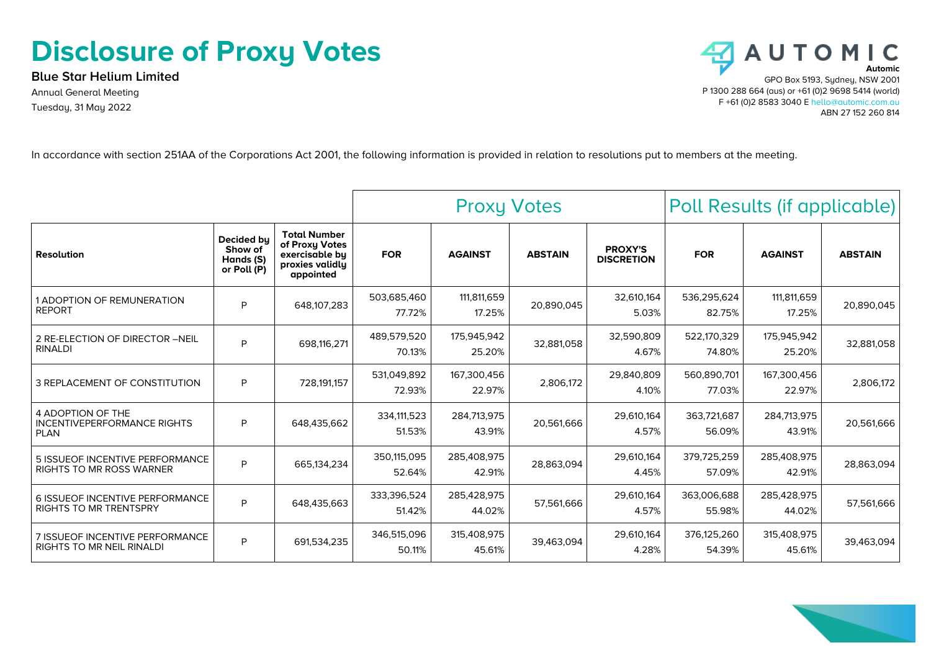# **Disclosure of Proxy Votes**

**Blue Star Helium Limited** Annual General Meeting Tuesday, 31 May 2022



In accordance with section 251AA of the Corporations Act 2001, the following information is provided in relation to resolutions put to members at the meeting.

|                                                                        |                                                   |                                                                                         | <b>Proxy Votes</b>    |                       |                | Poll Results (if applicable)        |                       |                       |                |
|------------------------------------------------------------------------|---------------------------------------------------|-----------------------------------------------------------------------------------------|-----------------------|-----------------------|----------------|-------------------------------------|-----------------------|-----------------------|----------------|
| <b>Resolution</b>                                                      | Decided bu<br>Show of<br>Hands (S)<br>or Poll (P) | <b>Total Number</b><br>of Proxy Votes<br>exercisable by<br>proxies validly<br>appointed | <b>FOR</b>            | <b>AGAINST</b>        | <b>ABSTAIN</b> | <b>PROXY'S</b><br><b>DISCRETION</b> | <b>FOR</b>            | <b>AGAINST</b>        | <b>ABSTAIN</b> |
| 1 ADOPTION OF REMUNERATION<br><b>REPORT</b>                            | P                                                 | 648.107.283                                                                             | 503,685,460<br>77.72% | 111.811.659<br>17.25% | 20,890,045     | 32,610,164<br>5.03%                 | 536,295,624<br>82.75% | 111,811,659<br>17.25% | 20,890,045     |
| 2 RE-ELECTION OF DIRECTOR -NEIL<br><b>RINALDI</b>                      | P                                                 | 698,116,271                                                                             | 489,579,520<br>70.13% | 175.945.942<br>25.20% | 32,881,058     | 32.590.809<br>4.67%                 | 522.170.329<br>74.80% | 175,945,942<br>25.20% | 32,881,058     |
| 3 REPLACEMENT OF CONSTITUTION                                          | P                                                 | 728.191.157                                                                             | 531.049.892<br>72.93% | 167,300,456<br>22.97% | 2.806.172      | 29.840.809<br>4.10%                 | 560,890,701<br>77.03% | 167,300,456<br>22.97% | 2,806,172      |
| 4 ADOPTION OF THE<br><b>INCENTIVEPERFORMANCE RIGHTS</b><br><b>PLAN</b> | P                                                 | 648,435,662                                                                             | 334,111,523<br>51.53% | 284,713,975<br>43.91% | 20,561,666     | 29,610,164<br>4.57%                 | 363,721,687<br>56.09% | 284,713,975<br>43.91% | 20,561,666     |
| 5 ISSUEOF INCENTIVE PERFORMANCE<br><b>RIGHTS TO MR ROSS WARNER</b>     | P                                                 | 665,134,234                                                                             | 350,115,095<br>52.64% | 285,408,975<br>42.91% | 28,863,094     | 29,610,164<br>4.45%                 | 379,725,259<br>57.09% | 285,408,975<br>42.91% | 28,863,094     |
| 6 ISSUEOF INCENTIVE PERFORMANCE<br><b>RIGHTS TO MR TRENTSPRY</b>       | P                                                 | 648,435,663                                                                             | 333,396,524<br>51.42% | 285,428,975<br>44.02% | 57,561,666     | 29,610,164<br>4.57%                 | 363,006,688<br>55.98% | 285,428,975<br>44.02% | 57,561,666     |
| 7 ISSUEOF INCENTIVE PERFORMANCE<br>RIGHTS TO MR NEIL RINALDI           | P                                                 | 691,534,235                                                                             | 346,515,096<br>50.11% | 315,408,975<br>45.61% | 39,463,094     | 29,610,164<br>4.28%                 | 376,125,260<br>54.39% | 315,408,975<br>45.61% | 39,463,094     |